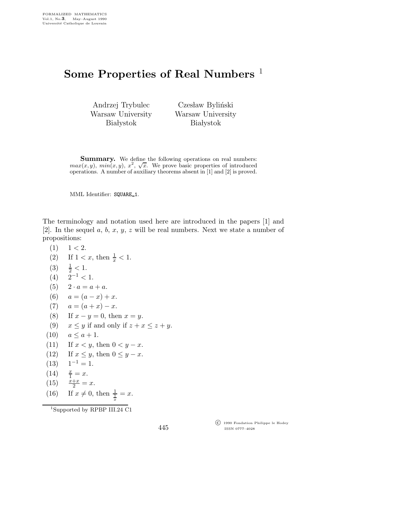## Some Properties of Real Numbers<sup>1</sup>

Andrzej Trybulec Warsaw University **Białystok** 

Czesław Byliński Warsaw University **Białystok** 

Summary. We define the following operations on real numbers:  $max(x, y)$ ,  $min(x, y)$ ,  $x^2$ ,  $\sqrt{x}$ . We prove basic properties of introduced operations. A number of auxiliary theorems absent in [1] and [2] is proved.

MML Identifier: SQUARE\_1.

The terminology and notation used here are introduced in the papers [1] and [2]. In the sequel a, b, x, y, z will be real numbers. Next we state a number of propositions:

 $(1)$   $1 < 2$ . (2) If  $1 < x$ , then  $\frac{1}{x} < 1$ . (3) <sup>1</sup>  $\frac{1}{2}$  < 1.  $(4)$  2<sup>-1</sup> < 1. (5)  $2 \cdot a = a + a$ . (6)  $a = (a - x) + x.$ (7)  $a = (a + x) - x$ . (8) If  $x - y = 0$ , then  $x = y$ . (9)  $x \leq y$  if and only if  $z + x \leq z + y$ . (10)  $a \leq a + 1$ . (11) If  $x < y$ , then  $0 < y - x$ . (12) If  $x \le y$ , then  $0 \le y - x$ .<br>(13)  $1^{-1} = 1$ .  $1^{-1} = 1.$  $(14)$  $\frac{x}{1} = x.$ (15)  $\frac{x+x}{2} = x$ . (16) If  $x \neq 0$ , then  $\frac{1}{2}$  $rac{\frac{1}{x}}{x}$  = x.

<sup>1</sup>Supported by RPBP III.24 C1

445

 c 1990 Fondation Philippe le Hodey ISSN 0777–4028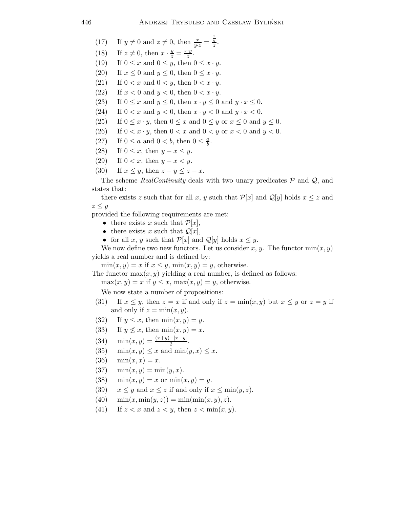(17) If 
$$
y \neq 0
$$
 and  $z \neq 0$ , then  $\frac{x}{y \cdot z} = \frac{\frac{x}{y}}{z}$ .

- (18) If  $z \neq 0$ , then  $x \cdot \frac{y}{z} = \frac{x \cdot y}{z}$ .
- (19) If  $0 \leq x$  and  $0 \leq y$ , then  $0 \leq x \cdot y$ .
- (20) If  $x \leq 0$  and  $y \leq 0$ , then  $0 \leq x \cdot y$ .
- (21) If  $0 < x$  and  $0 < y$ , then  $0 < x \cdot y$ .<br>(22) If  $x < 0$  and  $y < 0$ , then  $0 < x \cdot y$ .
- If  $x < 0$  and  $y < 0$ , then  $0 < x \cdot y$ .
- (23) If  $0 \le x$  and  $y \le 0$ , then  $x \cdot y \le 0$  and  $y \cdot x \le 0$ .
- (24) If  $0 < x$  and  $y < 0$ , then  $x \cdot y < 0$  and  $y \cdot x < 0$ .
- (25) If  $0 \leq x \cdot y$ , then  $0 \leq x$  and  $0 \leq y$  or  $x \leq 0$  and  $y \leq 0$ .
- (26) If  $0 < x \cdot y$ , then  $0 < x$  and  $0 < y$  or  $x < 0$  and  $y < 0$ .
- (27) If  $0 \le a$  and  $0 < b$ , then  $0 \le \frac{a}{b}$  $\frac{a}{b}$ .
- (28) If  $0 \leq x$ , then  $y x \leq y$ .
- (29) If  $0 < x$ , then  $y x < y$ .
- (30) If  $x \leq y$ , then  $z y \leq z x$ .

The scheme RealContinuity deals with two unary predicates  $P$  and  $Q$ , and states that:

there exists z such that for all x, y such that  $\mathcal{P}[x]$  and  $\mathcal{Q}[y]$  holds  $x \leq z$  and  $z \leq y$ 

provided the following requirements are met:

- there exists x such that  $\mathcal{P}[x]$ ,
- there exists x such that  $\mathcal{Q}[x]$ ,
- for all x, y such that  $\mathcal{P}[x]$  and  $\mathcal{Q}[y]$  holds  $x \leq y$ .

We now define two new functors. Let us consider x, y. The functor  $\min(x, y)$ yields a real number and is defined by:

 $\min(x, y) = x$  if  $x \leq y$ ,  $\min(x, y) = y$ , otherwise.

The functor  $max(x, y)$  yielding a real number, is defined as follows:

 $max(x, y) = x$  if  $y \leq x$ ,  $max(x, y) = y$ , otherwise.

We now state a number of propositions:

- (31) If  $x \leq y$ , then  $z = x$  if and only if  $z = \min(x, y)$  but  $x \leq y$  or  $z = y$  if and only if  $z = \min(x, y)$ .
- (32) If  $y \leq x$ , then  $\min(x, y) = y$ .
- (33) If  $y \nleq x$ , then  $\min(x, y) = x$ .
- (34)  $\min(x, y) = \frac{(x+y)-|x-y|}{2}$ .
- (35)  $\min(x, y) \leq x$  and  $\min(y, x) \leq x$ .
- (36)  $\min(x, x) = x$ .
- (37)  $\min(x, y) = \min(y, x)$ .
- (38)  $\min(x, y) = x \text{ or } \min(x, y) = y.$
- (39)  $x \leq y$  and  $x \leq z$  if and only if  $x \leq \min(y, z)$ .
- (40)  $\min(x, \min(y, z)) = \min(\min(x, y), z).$
- (41) If  $z < x$  and  $z < y$ , then  $z < \min(x, y)$ .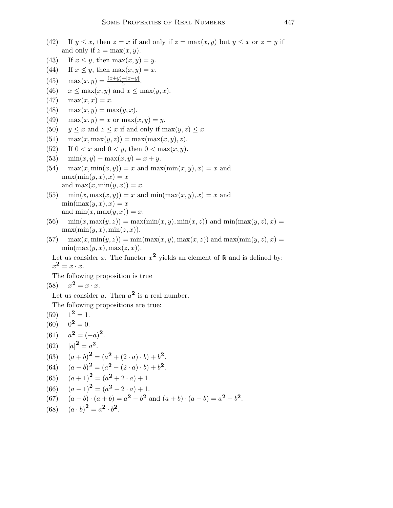- (42) If  $y \leq x$ , then  $z = x$  if and only if  $z = \max(x, y)$  but  $y \leq x$  or  $z = y$  if and only if  $z = \max(x, y)$ .
- (43) If  $x \leq y$ , then  $\max(x, y) = y$ .
- (44) If  $x \nleq y$ , then  $\max(x, y) = x$ .
- (45)  $\max(x, y) = \frac{(x+y)+|x-y|}{2}$ .
- (46)  $x \le \max(x, y)$  and  $x \le \max(y, x)$ .<br>(47)  $\max(x, x) = x$ .
- $max(x,x) = x.$
- (48)  $\max(x, y) = \max(y, x)$ .
- (49)  $\max(x, y) = x$  or  $\max(x, y) = y$ .
- (50)  $y \leq x$  and  $z \leq x$  if and only if  $\max(y, z) \leq x$ .
- (51)  $\max(x, \max(y, z)) = \max(\max(x, y), z).$
- (52) If  $0 < x$  and  $0 < y$ , then  $0 < \max(x, y)$ .
- (53)  $\min(x, y) + \max(x, y) = x + y$ .
- $(54)$  max $(x, \min(x, y)) = x$  and max $(\min(x, y), x) = x$  and  $\max(\min(y, x), x) = x$ and  $\max(x, \min(y, x)) = x$ .

(55) 
$$
\min(x, \max(x, y)) = x \text{ and } \min(\max(x, y), x) = x \text{ and } \min(\max(y, x), x) = x
$$
  
and 
$$
\min(x, \max(y, x)) = x.
$$

- $(56)$  min $(x, \max(y, z)) = \max(\min(x, y), \min(x, z))$  and  $\min(\max(y, z), x) =$  $\max(\min(y, x), \min(z, x)).$
- $(57)$  max $(x, \min(y, z)) = \min(\max(x, y), \max(x, z))$  and  $\max(\min(y, z), x) =$  $min(max(y, x), max(z, x)).$

Let us consider x. The functor  $x^2$  yields an element of  $\mathbb R$  and is defined by:  $x^2 = x \cdot x.$ 

The following proposition is true

$$
(58) \t x2 = x \cdot x.
$$

Let us consider a. Then  $a^2$  is a real number.

The following propositions are true:

 $(59)$   $1^2 = 1$ .  $(60)$   $0^2 = 0$ .  $(61)$  $2=(-a)^2$ . (62)  $|a|^2 = a^2$ . (63)  $(a+b)^2 = (a^2 + (2 \cdot a) \cdot b) + b^2$ . (64)  $(a - b)^2 = (a^2 - (2 \cdot a) \cdot b) + b^2$ . (65)  $(a+1)^2 = (a^2 + 2 \cdot a) + 1.$ (66)  $(a-1)^2 = (a^2 - 2 \cdot a) + 1.$ (67)  $(a - b) \cdot (a + b) = a^2 - b^2$  and  $(a + b) \cdot (a - b) = a^2 - b^2$ . (68)  $(a \cdot b)^2 = a^2 \cdot b^2$ .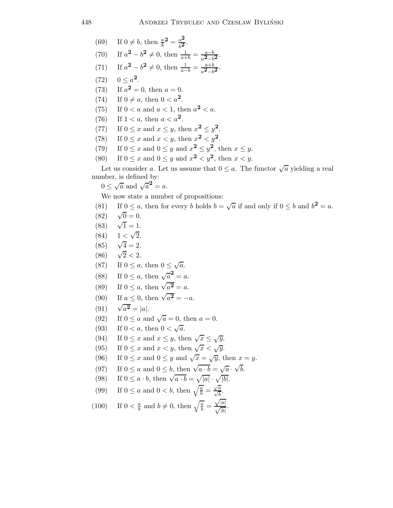(69) If 
$$
0 \neq b
$$
, then  $\frac{a}{b}^2 = \frac{a^2}{b^2}$ .

(70) If 
$$
a^2 - b^2 \neq 0
$$
, then  $\frac{1}{a+b} = \frac{a-b}{a^2-b^2}$ .

- (71) If  $a^2 b^2 \neq 0$ , then  $\frac{1}{a-b} = \frac{a+b}{a^2-b^2}$ .
- (72)  $0 \leq a^2$ .
- (73) If  $a^2 = 0$ , then  $a = 0$ .
- (74) If  $0 \neq a$ , then  $0 < a^2$ .<br>(75) If  $0 < a$  and  $a < 1$ , th
- (75) If  $0 < a$  and  $a < 1$ , then  $a^2 < a$ .
- (76) If  $1 < a$ , then  $a < a^2$ .
- (77) If  $0 \le x$  and  $x \le y$ , then  $x^2 \le y^2$ .
- (78) If  $0 \le x$  and  $x < y$ , then  $x^2 < y^2$ .
- (79) If  $0 \le x$  and  $0 \le y$  and  $x^2 \le y^2$ , then  $x \le y$ .
- (80) If  $0 \le x$  and  $0 \le y$  and  $x^2 < y^2$ , then  $x < y$ .

Let us consider a. Let us assume that  $0 \le a$ . The functor  $\sqrt{a}$  yielding a real number, is defined by:

 $0 \leq \sqrt{a}$  and  $\sqrt{a}^2 = a$ .

We now state a number of propositions:

- (81) If  $0 \le a$ , then for every b holds  $b = \sqrt{a}$  if and only if  $0 \le b$  and  $b^2 = a$ .  $(82)$  $\sqrt{0} = 0.$  $(83)$  $\sqrt{1} = 1.$  $(84)$  $\sqrt{2}$ .
- $(85)$  $\sqrt{4} = 2.$
- $(86)$  $\sqrt{2}$  < 2.
- (87) If  $0 \le a$ , then  $0 \le \sqrt{a}$ .
- (88) If  $0 \le a$ , then  $\sqrt{a}^2 = a$ .
- (89) If  $0 \le a$ , then  $\sqrt{a^2} = a$ .
- (90) If  $a \le 0$ , then  $\sqrt{a^2} = -a$ .
- $(91)$  $\overline{a^2} = |a|.$
- (92) If  $0 \le a$  and  $\sqrt{a} = 0$ , then  $a = 0$ .
- (93) If  $0 < a$ , then  $0 < \sqrt{a}$ .
- (94) If  $0 \le x$  and  $x \le y$ , then  $\sqrt{x} \le \sqrt{y}$ .
- (95) If  $0 \le x$  and  $x < y$ , then  $\sqrt{x} < \sqrt{y}$ .
- (96) If  $0 \le x$  and  $0 \le y$  and  $\sqrt{x} = \sqrt{y}$ , then  $x = y$ .
- (97) If  $0 \le a$  and  $0 \le b$ , then  $\sqrt{a \cdot b} = \sqrt{a} \cdot \sqrt{b}$ .
- (98) If  $0 \le a \cdot b$ , then  $\sqrt{a \cdot b} = \sqrt{|a|} \cdot \sqrt{|b|}$ .
- (99) If  $0 \le a$  and  $0 < b$ , then  $\sqrt{\frac{a}{b}} = \frac{\sqrt{a}}{\sqrt{b}}$ .

(100) If 
$$
0 < \frac{a}{b}
$$
 and  $b \neq 0$ , then  $\sqrt{\frac{a}{b}} = \frac{\sqrt{|a|}}{\sqrt{|b|}}$ .